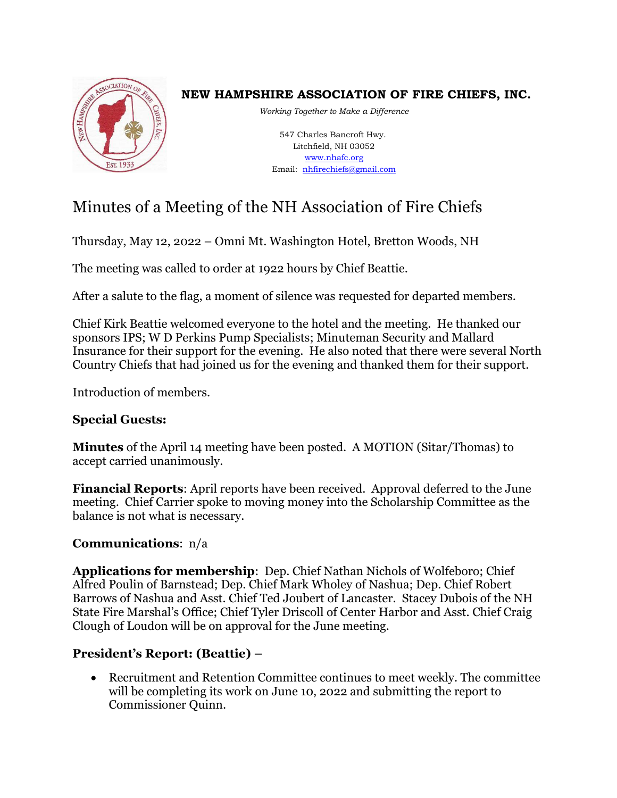

# **NEW HAMPSHIRE ASSOCIATION OF FIRE CHIEFS, INC.**

*Working Together to Make a Difference*

547 Charles Bancroft Hwy. Litchfield, NH 03052 [www.nhafc.org](http://www.nhafc.org/) Email: [nhfirechiefs@gmail.com](mailto:nhfirechiefs@gmail.com)

# Minutes of a Meeting of the NH Association of Fire Chiefs

Thursday, May 12, 2022 – Omni Mt. Washington Hotel, Bretton Woods, NH

The meeting was called to order at 1922 hours by Chief Beattie.

After a salute to the flag, a moment of silence was requested for departed members.

Chief Kirk Beattie welcomed everyone to the hotel and the meeting. He thanked our sponsors IPS; W D Perkins Pump Specialists; Minuteman Security and Mallard Insurance for their support for the evening. He also noted that there were several North Country Chiefs that had joined us for the evening and thanked them for their support.

Introduction of members.

# **Special Guests:**

**Minutes** of the April 14 meeting have been posted. A MOTION (Sitar/Thomas) to accept carried unanimously.

**Financial Reports**: April reports have been received. Approval deferred to the June meeting. Chief Carrier spoke to moving money into the Scholarship Committee as the balance is not what is necessary.

# **Communications**: n/a

**Applications for membership**: Dep. Chief Nathan Nichols of Wolfeboro; Chief Alfred Poulin of Barnstead; Dep. Chief Mark Wholey of Nashua; Dep. Chief Robert Barrows of Nashua and Asst. Chief Ted Joubert of Lancaster. Stacey Dubois of the NH State Fire Marshal's Office; Chief Tyler Driscoll of Center Harbor and Asst. Chief Craig Clough of Loudon will be on approval for the June meeting.

# **President's Report: (Beattie) –**

• Recruitment and Retention Committee continues to meet weekly. The committee will be completing its work on June 10, 2022 and submitting the report to Commissioner Quinn.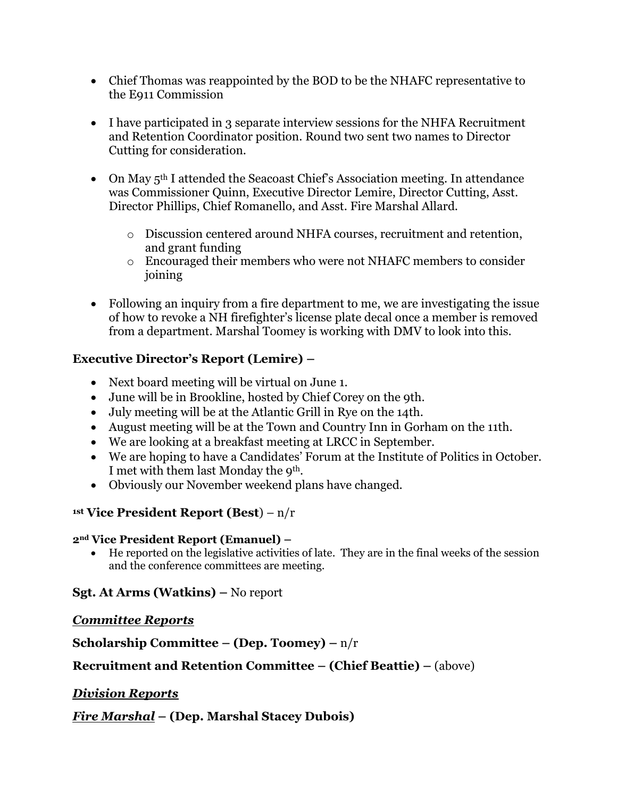- Chief Thomas was reappointed by the BOD to be the NHAFC representative to the E911 Commission
- I have participated in 3 separate interview sessions for the NHFA Recruitment and Retention Coordinator position. Round two sent two names to Director Cutting for consideration.
- On May 5<sup>th</sup> I attended the Seacoast Chief's Association meeting. In attendance was Commissioner Quinn, Executive Director Lemire, Director Cutting, Asst. Director Phillips, Chief Romanello, and Asst. Fire Marshal Allard.
	- o Discussion centered around NHFA courses, recruitment and retention, and grant funding
	- o Encouraged their members who were not NHAFC members to consider joining
- Following an inquiry from a fire department to me, we are investigating the issue of how to revoke a NH firefighter's license plate decal once a member is removed from a department. Marshal Toomey is working with DMV to look into this.

### **Executive Director's Report (Lemire) –**

- Next board meeting will be virtual on June 1.
- June will be in Brookline, hosted by Chief Corey on the 9th.
- July meeting will be at the Atlantic Grill in Rye on the 14th.
- August meeting will be at the Town and Country Inn in Gorham on the 11th.
- We are looking at a breakfast meeting at LRCC in September.
- We are hoping to have a Candidates' Forum at the Institute of Politics in October. I met with them last Monday the 9th.
- Obviously our November weekend plans have changed.

### **1st Vice President Report (Best**) – n/r

### **2nd Vice President Report (Emanuel) –**

• He reported on the legislative activities of late. They are in the final weeks of the session and the conference committees are meeting.

# **Sgt. At Arms (Watkins) –** No report

# *Committee Reports*

**Scholarship Committee – (Dep. Toomey) –** n/r

# **Recruitment and Retention Committee – (Chief Beattie) –** (above)

# *Division Reports*

*Fire Marshal* **– (Dep. Marshal Stacey Dubois)**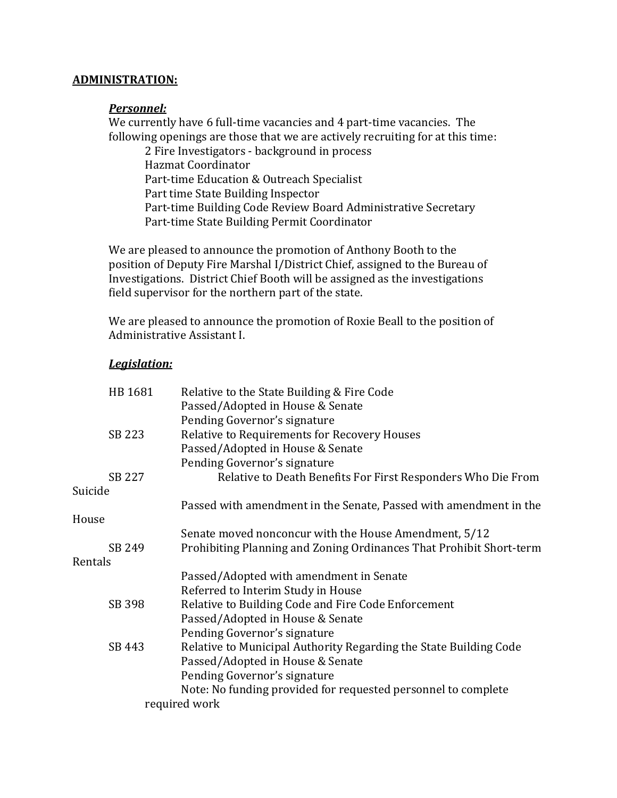#### **ADMINISTRATION:**

#### *Personnel:*

We currently have 6 full-time vacancies and 4 part-time vacancies. The following openings are those that we are actively recruiting for at this time:

2 Fire Investigators - background in process Hazmat Coordinator Part-time Education & Outreach Specialist Part time State Building Inspector Part-time Building Code Review Board Administrative Secretary Part-time State Building Permit Coordinator

We are pleased to announce the promotion of Anthony Booth to the position of Deputy Fire Marshal I/District Chief, assigned to the Bureau of Investigations. District Chief Booth will be assigned as the investigations field supervisor for the northern part of the state.

We are pleased to announce the promotion of Roxie Beall to the position of Administrative Assistant I.

#### *Legislation:*

| HB 1681 | Relative to the State Building & Fire Code                          |
|---------|---------------------------------------------------------------------|
|         | Passed/Adopted in House & Senate                                    |
|         | Pending Governor's signature                                        |
| SB 223  | Relative to Requirements for Recovery Houses                        |
|         | Passed/Adopted in House & Senate                                    |
|         | Pending Governor's signature                                        |
| SB 227  | Relative to Death Benefits For First Responders Who Die From        |
| Suicide |                                                                     |
|         | Passed with amendment in the Senate, Passed with amendment in the   |
| House   |                                                                     |
|         | Senate moved nonconcur with the House Amendment, 5/12               |
| SB 249  | Prohibiting Planning and Zoning Ordinances That Prohibit Short-term |
| Rentals |                                                                     |
|         | Passed/Adopted with amendment in Senate                             |
|         | Referred to Interim Study in House                                  |
| SB 398  | Relative to Building Code and Fire Code Enforcement                 |
|         | Passed/Adopted in House & Senate                                    |
|         | Pending Governor's signature                                        |
| SB 443  | Relative to Municipal Authority Regarding the State Building Code   |
|         | Passed/Adopted in House & Senate                                    |
|         | Pending Governor's signature                                        |
|         | Note: No funding provided for requested personnel to complete       |
|         | required work                                                       |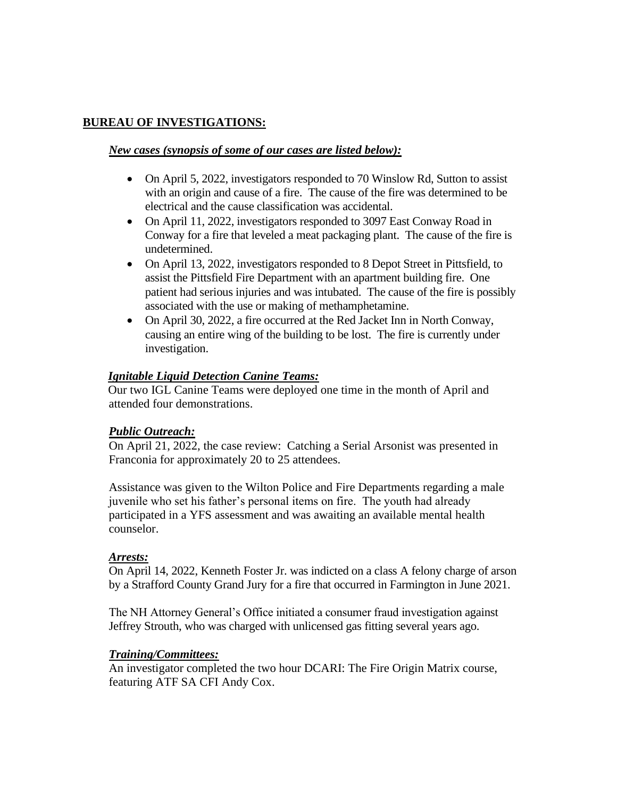#### **BUREAU OF INVESTIGATIONS:**

#### *New cases (synopsis of some of our cases are listed below):*

- On April 5, 2022, investigators responded to 70 Winslow Rd, Sutton to assist with an origin and cause of a fire. The cause of the fire was determined to be electrical and the cause classification was accidental.
- On April 11, 2022, investigators responded to 3097 East Conway Road in Conway for a fire that leveled a meat packaging plant. The cause of the fire is undetermined.
- On April 13, 2022, investigators responded to 8 Depot Street in Pittsfield, to assist the Pittsfield Fire Department with an apartment building fire. One patient had serious injuries and was intubated. The cause of the fire is possibly associated with the use or making of methamphetamine.
- On April 30, 2022, a fire occurred at the Red Jacket Inn in North Conway, causing an entire wing of the building to be lost. The fire is currently under investigation.

#### *Ignitable Liquid Detection Canine Teams:*

Our two IGL Canine Teams were deployed one time in the month of April and attended four demonstrations.

#### *Public Outreach:*

On April 21, 2022, the case review: Catching a Serial Arsonist was presented in Franconia for approximately 20 to 25 attendees.

Assistance was given to the Wilton Police and Fire Departments regarding a male juvenile who set his father's personal items on fire. The youth had already participated in a YFS assessment and was awaiting an available mental health counselor.

#### *Arrests:*

On April 14, 2022, Kenneth Foster Jr. was indicted on a class A felony charge of arson by a Strafford County Grand Jury for a fire that occurred in Farmington in June 2021.

The NH Attorney General's Office initiated a consumer fraud investigation against Jeffrey Strouth, who was charged with unlicensed gas fitting several years ago.

#### *Training/Committees:*

An investigator completed the two hour DCARI: The Fire Origin Matrix course, featuring ATF SA CFI Andy Cox.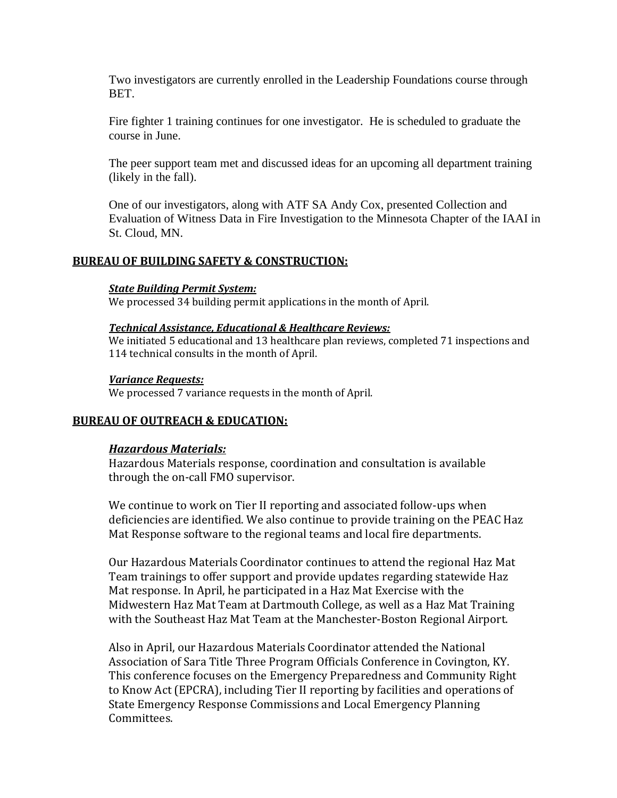Two investigators are currently enrolled in the Leadership Foundations course through BET.

Fire fighter 1 training continues for one investigator. He is scheduled to graduate the course in June.

The peer support team met and discussed ideas for an upcoming all department training (likely in the fall).

One of our investigators, along with ATF SA Andy Cox, presented Collection and Evaluation of Witness Data in Fire Investigation to the Minnesota Chapter of the IAAI in St. Cloud, MN.

#### **BUREAU OF BUILDING SAFETY & CONSTRUCTION:**

#### *State Building Permit System:*

We processed 34 building permit applications in the month of April.

#### *Technical Assistance, Educational & Healthcare Reviews:*

We initiated 5 educational and 13 healthcare plan reviews, completed 71 inspections and 114 technical consults in the month of April.

#### *Variance Requests:*

We processed 7 variance requests in the month of April.

#### **BUREAU OF OUTREACH & EDUCATION:**

#### *Hazardous Materials:*

Hazardous Materials response, coordination and consultation is available through the on-call FMO supervisor.

We continue to work on Tier II reporting and associated follow-ups when deficiencies are identified. We also continue to provide training on the PEAC Haz Mat Response software to the regional teams and local fire departments.

Our Hazardous Materials Coordinator continues to attend the regional Haz Mat Team trainings to offer support and provide updates regarding statewide Haz Mat response. In April, he participated in a Haz Mat Exercise with the Midwestern Haz Mat Team at Dartmouth College, as well as a Haz Mat Training with the Southeast Haz Mat Team at the Manchester-Boston Regional Airport.

Also in April, our Hazardous Materials Coordinator attended the National Association of Sara Title Three Program Officials Conference in Covington, KY. This conference focuses on the Emergency Preparedness and Community Right to Know Act (EPCRA), including Tier II reporting by facilities and operations of State Emergency Response Commissions and Local Emergency Planning Committees.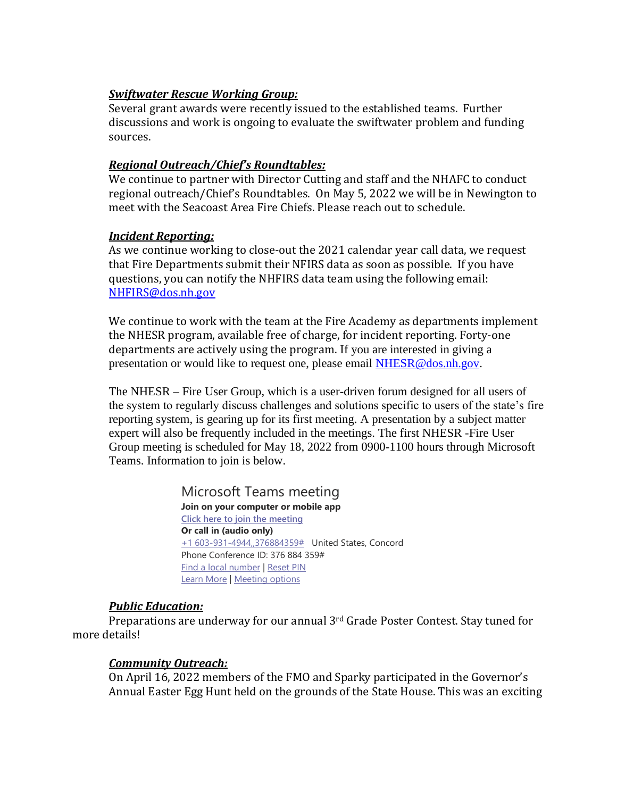#### *Swiftwater Rescue Working Group:*

Several grant awards were recently issued to the established teams. Further discussions and work is ongoing to evaluate the swiftwater problem and funding sources.

#### *Regional Outreach/Chief's Roundtables:*

We continue to partner with Director Cutting and staff and the NHAFC to conduct regional outreach/Chief's Roundtables. On May 5, 2022 we will be in Newington to meet with the Seacoast Area Fire Chiefs. Please reach out to schedule.

#### *Incident Reporting:*

As we continue working to close-out the 2021 calendar year call data, we request that Fire Departments submit their NFIRS data as soon as possible. If you have questions, you can notify the NHFIRS data team using the following email: [NHFIRS@dos.nh.gov](about:blank)

We continue to work with the team at the Fire Academy as departments implement the NHESR program, available free of charge, for incident reporting. Forty-one departments are actively using the program. If you are interested in giving a presentation or would like to request one, please email [NHESR@dos.nh.gov.](about:blank)

The NHESR – Fire User Group, which is a user-driven forum designed for all users of the system to regularly discuss challenges and solutions specific to users of the state's fire reporting system, is gearing up for its first meeting. A presentation by a subject matter expert will also be frequently included in the meetings. The first NHESR -Fire User Group meeting is scheduled for May 18, 2022 from 0900-1100 hours through Microsoft Teams. Information to join is below.

> Microsoft Teams meeting **Join on your computer or mobile app**

**[Click here to join the meeting](about:blank) Or call in (audio only)** [+1 603-931-4944,,376884359#](about:blank# ) United States, Concord Phone Conference ID: 376 884 359# [Find a local number](about:blank) [| Reset PIN](about:blank) [Learn More](about:blank) | [Meeting options](about:blank)

#### *Public Education:*

Preparations are underway for our annual 3rd Grade Poster Contest. Stay tuned for more details!

#### *Community Outreach:*

On April 16, 2022 members of the FMO and Sparky participated in the Governor's Annual Easter Egg Hunt held on the grounds of the State House. This was an exciting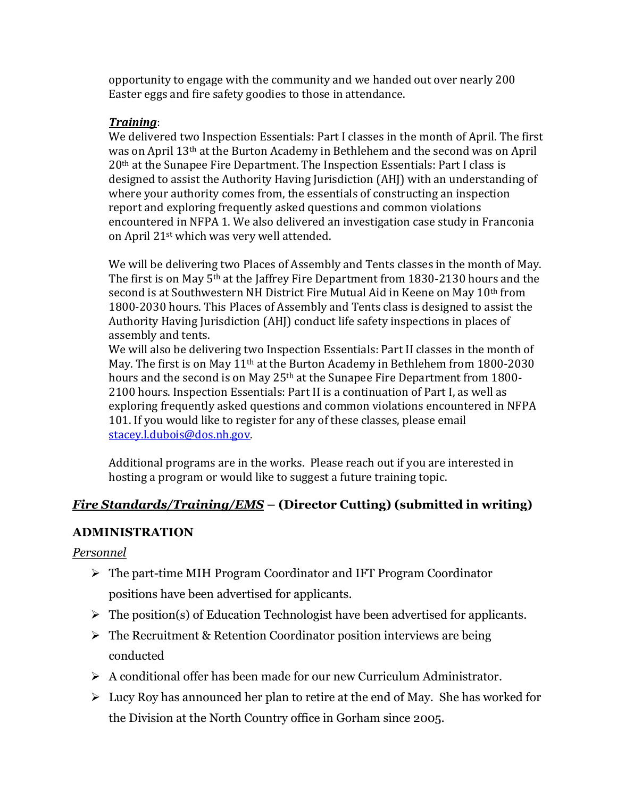opportunity to engage with the community and we handed out over nearly 200 Easter eggs and fire safety goodies to those in attendance.

### *Training*:

We delivered two Inspection Essentials: Part I classes in the month of April. The first was on April 13th at the Burton Academy in Bethlehem and the second was on April 20th at the Sunapee Fire Department. The Inspection Essentials: Part I class is designed to assist the Authority Having Jurisdiction (AHJ) with an understanding of where your authority comes from, the essentials of constructing an inspection report and exploring frequently asked questions and common violations encountered in NFPA 1. We also delivered an investigation case study in Franconia on April 21st which was very well attended.

We will be delivering two Places of Assembly and Tents classes in the month of May. The first is on May 5<sup>th</sup> at the Jaffrey Fire Department from 1830-2130 hours and the second is at Southwestern NH District Fire Mutual Aid in Keene on May 10<sup>th</sup> from 1800-2030 hours. This Places of Assembly and Tents class is designed to assist the Authority Having Jurisdiction (AHJ) conduct life safety inspections in places of assembly and tents.

We will also be delivering two Inspection Essentials: Part II classes in the month of May. The first is on May 11<sup>th</sup> at the Burton Academy in Bethlehem from 1800-2030 hours and the second is on May 25<sup>th</sup> at the Sunapee Fire Department from 1800-2100 hours. Inspection Essentials: Part II is a continuation of Part I, as well as exploring frequently asked questions and common violations encountered in NFPA 101. If you would like to register for any of these classes, please email [stacey.l.dubois@dos.nh.gov.](about:blank) 

Additional programs are in the works. Please reach out if you are interested in hosting a program or would like to suggest a future training topic.

# *Fire Standards/Training/EMS* **– (Director Cutting) (submitted in writing)**

# **ADMINISTRATION**

### *Personnel*

- ➢ The part-time MIH Program Coordinator and IFT Program Coordinator positions have been advertised for applicants.
- $\triangleright$  The position(s) of Education Technologist have been advertised for applicants.
- $\triangleright$  The Recruitment & Retention Coordinator position interviews are being conducted
- $\triangleright$  A conditional offer has been made for our new Curriculum Administrator.
- $\triangleright$  Lucy Roy has announced her plan to retire at the end of May. She has worked for the Division at the North Country office in Gorham since 2005.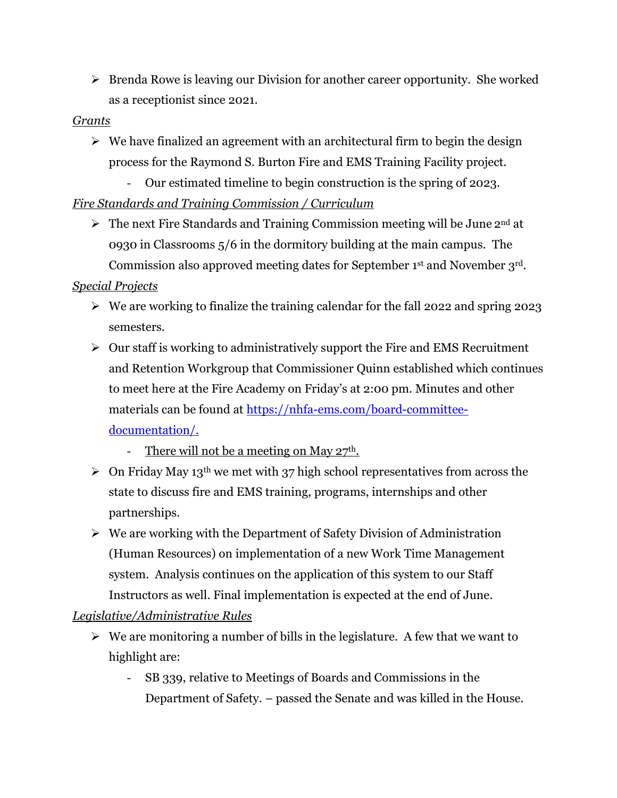➢ Brenda Rowe is leaving our Division for another career opportunity. She worked as a receptionist since 2021.

#### *Grants*

- $\triangleright$  We have finalized an agreement with an architectural firm to begin the design process for the Raymond S. Burton Fire and EMS Training Facility project.
	- Our estimated timeline to begin construction is the spring of 2023.

# *Fire Standards and Training Commission / Curriculum*

 $\triangleright$  The next Fire Standards and Training Commission meeting will be June 2<sup>nd</sup> at 0930 in Classrooms 5/6 in the dormitory building at the main campus. The Commission also approved meeting dates for September 1st and November 3rd.

### *Special Projects*

- ➢ We are working to finalize the training calendar for the fall 2022 and spring 2023 semesters.
- $\triangleright$  Our staff is working to administratively support the Fire and EMS Recruitment and Retention Workgroup that Commissioner Quinn established which continues to meet here at the Fire Academy on Friday's at 2:00 pm. Minutes and other materials can be found at [https://nhfa-ems.com/board-committee](about:blank)[documentation/.](about:blank)
	- There will not be a meeting on May  $27<sup>th</sup>$ .
- $\geq$  On Friday May 13<sup>th</sup> we met with 37 high school representatives from across the state to discuss fire and EMS training, programs, internships and other partnerships.
- ➢ We are working with the Department of Safety Division of Administration (Human Resources) on implementation of a new Work Time Management system. Analysis continues on the application of this system to our Staff Instructors as well. Final implementation is expected at the end of June.

# *Legislative/Administrative Rules*

- $\triangleright$  We are monitoring a number of bills in the legislature. A few that we want to highlight are:
	- SB 339, relative to Meetings of Boards and Commissions in the Department of Safety. – passed the Senate and was killed in the House.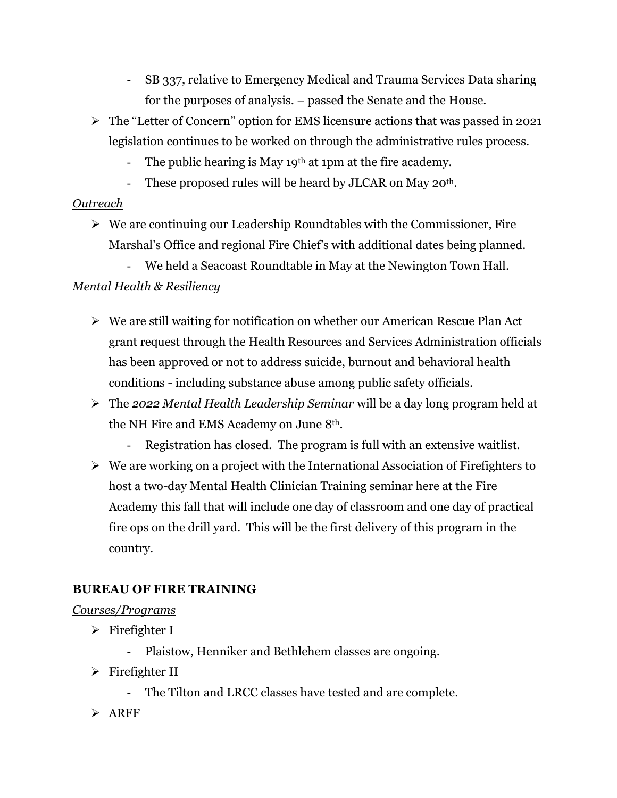- SB 337, relative to Emergency Medical and Trauma Services Data sharing for the purposes of analysis. – passed the Senate and the House.
- ➢ The "Letter of Concern" option for EMS licensure actions that was passed in 2021 legislation continues to be worked on through the administrative rules process.
	- The public hearing is May 19<sup>th</sup> at 1pm at the fire academy.
	- These proposed rules will be heard by JLCAR on May 20<sup>th</sup>.

# *Outreach*

- $\triangleright$  We are continuing our Leadership Roundtables with the Commissioner, Fire Marshal's Office and regional Fire Chief's with additional dates being planned.
	- We held a Seacoast Roundtable in May at the Newington Town Hall.

# *Mental Health & Resiliency*

- ➢ We are still waiting for notification on whether our American Rescue Plan Act grant request through the Health Resources and Services Administration officials has been approved or not to address suicide, burnout and behavioral health conditions - including substance abuse among public safety officials.
- ➢ The *2022 Mental Health Leadership Seminar* will be a day long program held at the NH Fire and EMS Academy on June 8th.
	- Registration has closed. The program is full with an extensive waitlist.
- ➢ We are working on a project with the International Association of Firefighters to host a two-day Mental Health Clinician Training seminar here at the Fire Academy this fall that will include one day of classroom and one day of practical fire ops on the drill yard. This will be the first delivery of this program in the country.

# **BUREAU OF FIRE TRAINING**

# *Courses/Programs*

- $\triangleright$  Firefighter I
	- Plaistow, Henniker and Bethlehem classes are ongoing.
- ➢ Firefighter II
	- The Tilton and LRCC classes have tested and are complete.
- ➢ ARFF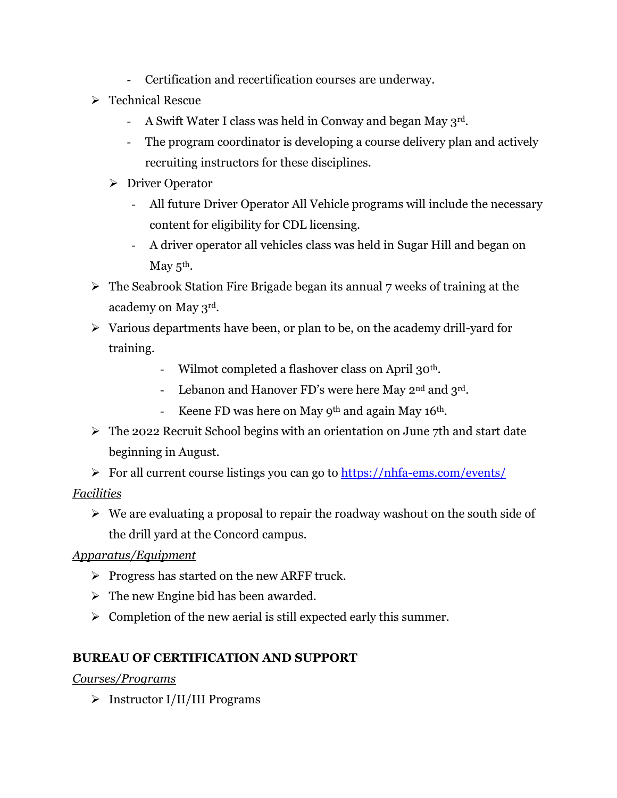- Certification and recertification courses are underway.
- ➢ Technical Rescue
	- A Swift Water I class was held in Conway and began May  $3^{rd}$ .
	- The program coordinator is developing a course delivery plan and actively recruiting instructors for these disciplines.
	- ➢ Driver Operator
		- All future Driver Operator All Vehicle programs will include the necessary content for eligibility for CDL licensing.
		- A driver operator all vehicles class was held in Sugar Hill and began on May  $5^{\text{th}}$ .
- ➢ The Seabrook Station Fire Brigade began its annual 7 weeks of training at the academy on May 3rd.
- ➢ Various departments have been, or plan to be, on the academy drill-yard for training.
	- Wilmot completed a flashover class on April 30<sup>th</sup>.
	- Lebanon and Hanover FD's were here May 2<sup>nd</sup> and 3<sup>rd</sup>.
	- Keene FD was here on May  $9<sup>th</sup>$  and again May  $16<sup>th</sup>$ .
- ➢ The 2022 Recruit School begins with an orientation on June 7th and start date beginning in August.

➢ For all current course listings you can go to [https://nhfa-ems.com/events/](about:blank) *Facilities*

➢ We are evaluating a proposal to repair the roadway washout on the south side of the drill yard at the Concord campus.

# *Apparatus/Equipment*

- $\triangleright$  Progress has started on the new ARFF truck.
- $\triangleright$  The new Engine bid has been awarded.
- $\triangleright$  Completion of the new aerial is still expected early this summer.

# **BUREAU OF CERTIFICATION AND SUPPORT**

*Courses/Programs*

➢ Instructor I/II/III Programs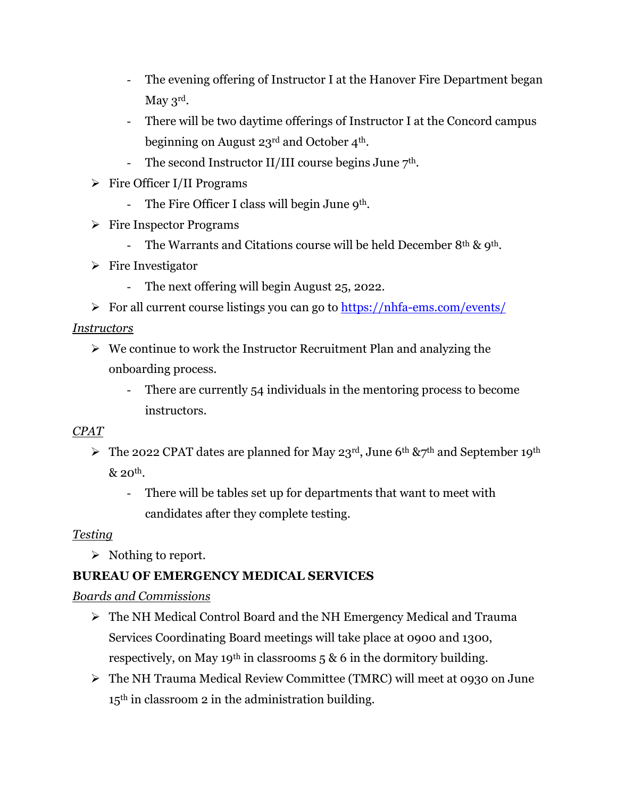- The evening offering of Instructor I at the Hanover Fire Department began May 3rd.
- There will be two daytime offerings of Instructor I at the Concord campus beginning on August 23rd and October 4th.
- The second Instructor II/III course begins June  $7<sup>th</sup>$ .
- ➢ Fire Officer I/II Programs
	- The Fire Officer I class will begin June 9<sup>th</sup>.
- ➢ Fire Inspector Programs
	- The Warrants and Citations course will be held December 8<sup>th</sup> & 9<sup>th</sup>.
- ➢ Fire Investigator
	- The next offering will begin August 25, 2022.
- ➢ For all current course listings you can go to [https://nhfa-ems.com/events/](about:blank)

### *Instructors*

- ➢ We continue to work the Instructor Recruitment Plan and analyzing the onboarding process.
	- There are currently 54 individuals in the mentoring process to become instructors.

### *CPAT*

- $\triangleright$  The 2022 CPAT dates are planned for May 23<sup>rd</sup>, June 6<sup>th</sup> &7<sup>th</sup> and September 19<sup>th</sup>  $& 20<sup>th</sup>$ .
	- There will be tables set up for departments that want to meet with candidates after they complete testing.

### *Testing*

➢ Nothing to report.

# **BUREAU OF EMERGENCY MEDICAL SERVICES**

### *Boards and Commissions*

- ➢ The NH Medical Control Board and the NH Emergency Medical and Trauma Services Coordinating Board meetings will take place at 0900 and 1300, respectively, on May 19<sup>th</sup> in classrooms  $5 \& 6$  in the dormitory building.
- ➢ The NH Trauma Medical Review Committee (TMRC) will meet at 0930 on June 15th in classroom 2 in the administration building.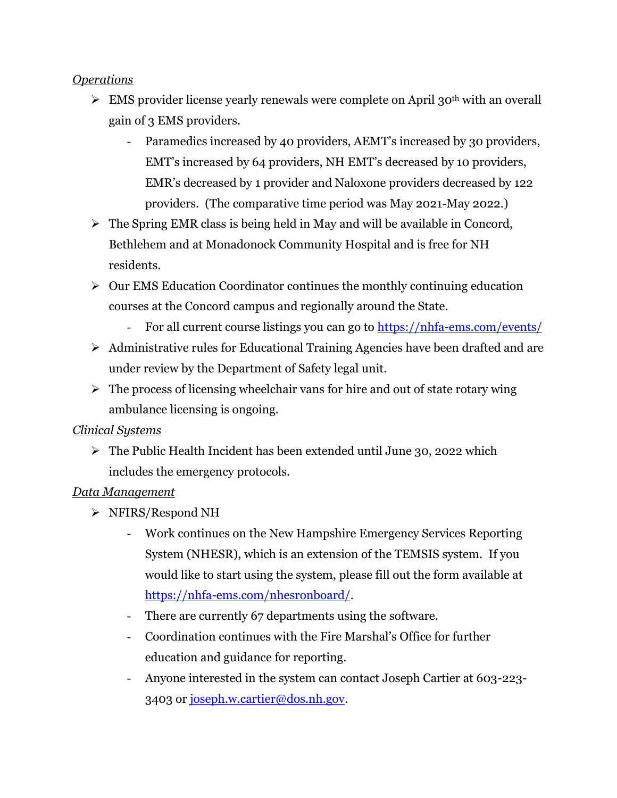### *Operations*

- $\triangleright$  EMS provider license yearly renewals were complete on April 30<sup>th</sup> with an overall gain of 3 EMS providers.
	- Paramedics increased by 40 providers, AEMT's increased by 30 providers, EMT's increased by 64 providers, NH EMT's decreased by 10 providers, EMR's decreased by 1 provider and Naloxone providers decreased by 122 providers. (The comparative time period was May 2021-May 2022.)
- ➢ The Spring EMR class is being held in May and will be available in Concord, Bethlehem and at Monadonock Community Hospital and is free for NH residents.
- ➢ Our EMS Education Coordinator continues the monthly continuing education courses at the Concord campus and regionally around the State.
	- For all current course listings you can go to [https://nhfa-ems.com/events/](about:blank)
- ➢ Administrative rules for Educational Training Agencies have been drafted and are under review by the Department of Safety legal unit.
- $\triangleright$  The process of licensing wheelchair vans for hire and out of state rotary wing ambulance licensing is ongoing.

### *Clinical Systems*

➢ The Public Health Incident has been extended until June 30, 2022 which includes the emergency protocols.

### *Data Management*

- ➢ NFIRS/Respond NH
	- Work continues on the New Hampshire Emergency Services Reporting System (NHESR), which is an extension of the TEMSIS system. If you would like to start using the system, please fill out the form available at [https://nhfa-ems.com/nhesronboard/.](about:blank)
	- There are currently 67 departments using the software.
	- Coordination continues with the Fire Marshal's Office for further education and guidance for reporting.
	- Anyone interested in the system can contact Joseph Cartier at 603-223- 3403 or [joseph.w.cartier@dos.nh.gov.](about:blank)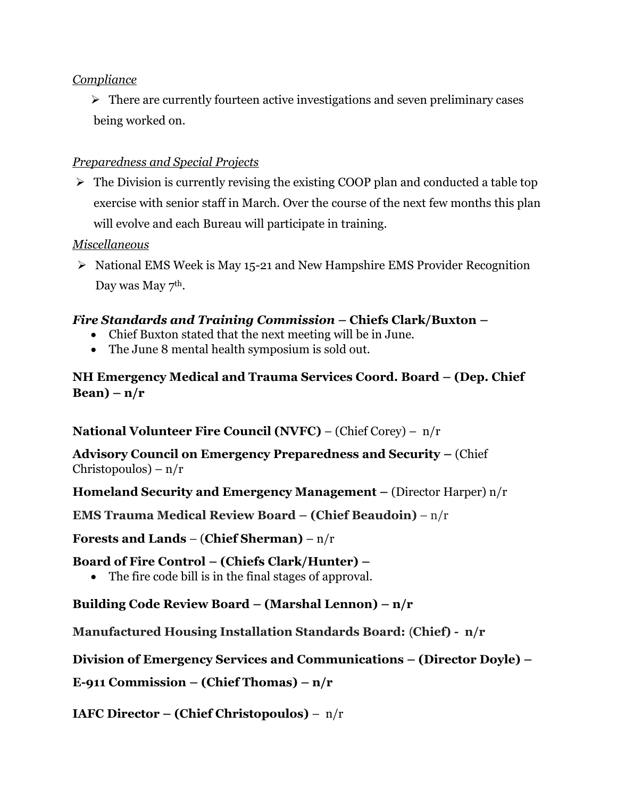### *Compliance*

➢ There are currently fourteen active investigations and seven preliminary cases being worked on.

### *Preparedness and Special Projects*

➢ The Division is currently revising the existing COOP plan and conducted a table top exercise with senior staff in March. Over the course of the next few months this plan will evolve and each Bureau will participate in training.

### *Miscellaneous*

➢ National EMS Week is May 15-21 and New Hampshire EMS Provider Recognition Day was May 7<sup>th</sup>.

# *Fire Standards and Training Commission –* **Chiefs Clark/Buxton –**

- Chief Buxton stated that the next meeting will be in June.
- The June 8 mental health symposium is sold out.

### **NH Emergency Medical and Trauma Services Coord. Board – (Dep. Chief Bean) – n/r**

**National Volunteer Fire Council (NVFC)** – (Chief Corey) – n/r

**Advisory Council on Emergency Preparedness and Security –** (Chief Christopoulos) – n/r

**Homeland Security and Emergency Management –** (Director Harper) n/r

**EMS Trauma Medical Review Board – (Chief Beaudoin)** – n/r

**Forests and Lands** – (**Chief Sherman)** – n/r

**Board of Fire Control – (Chiefs Clark/Hunter) –**

• The fire code bill is in the final stages of approval.

# **Building Code Review Board – (Marshal Lennon) – n/r**

**Manufactured Housing Installation Standards Board:** (**Chief) - n/r**

**Division of Emergency Services and Communications – (Director Doyle) –**

**E-911 Commission – (Chief Thomas) – n/r**

**IAFC Director – (Chief Christopoulos)** – n/r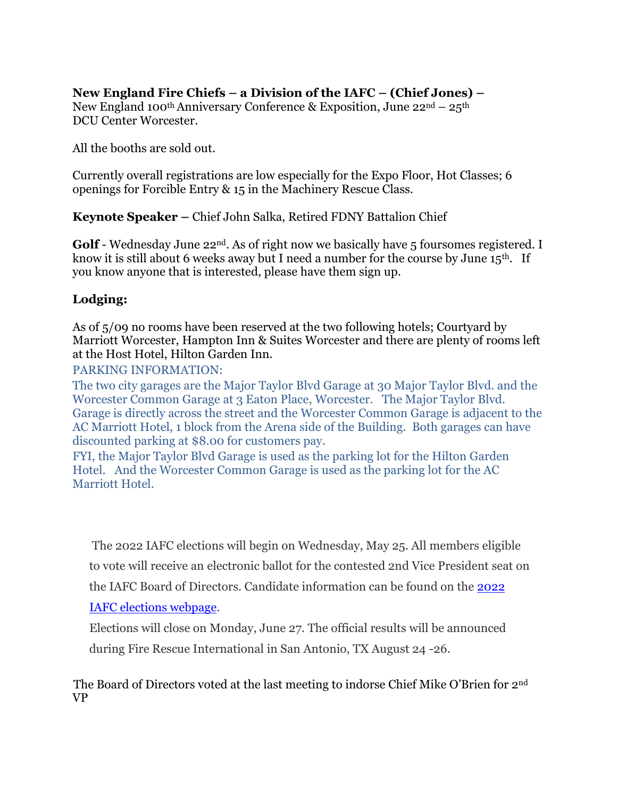# **New England Fire Chiefs – a Division of the IAFC – (Chief Jones) –**

New England 100<sup>th</sup> Anniversary Conference & Exposition, June  $22^{nd} - 25^{th}$ DCU Center Worcester.

All the booths are sold out.

Currently overall registrations are low especially for the Expo Floor, Hot Classes; 6 openings for Forcible Entry & 15 in the Machinery Rescue Class.

**Keynote Speaker –** Chief John Salka, Retired FDNY Battalion Chief

Golf - Wednesday June 22<sup>nd</sup>. As of right now we basically have 5 foursomes registered. I know it is still about 6 weeks away but I need a number for the course by June  $15<sup>th</sup>$ . If you know anyone that is interested, please have them sign up.

### **Lodging:**

As of 5/09 no rooms have been reserved at the two following hotels; Courtyard by Marriott Worcester, Hampton Inn & Suites Worcester and there are plenty of rooms left at the Host Hotel, Hilton Garden Inn.

PARKING INFORMATION:

The two city garages are the Major Taylor Blvd Garage at 30 Major Taylor Blvd. and the Worcester Common Garage at 3 Eaton Place, Worcester. The Major Taylor Blvd. Garage is directly across the street and the Worcester Common Garage is adjacent to the AC Marriott Hotel, 1 block from the Arena side of the Building. Both garages can have discounted parking at \$8.00 for customers pay.

FYI, the Major Taylor Blvd Garage is used as the parking lot for the Hilton Garden Hotel. And the Worcester Common Garage is used as the parking lot for the AC Marriott Hotel.

The 2022 IAFC elections will begin on Wednesday, May 25. All members eligible

to vote will receive an electronic ballot for the contested 2nd Vice President seat on

the IAFC Board of Directors. Candidate information can be found on the [2022](about:blank) 

# [IAFC elections webpage.](about:blank)

Elections will close on Monday, June 27. The official results will be announced during Fire Rescue International in San Antonio, TX August 24 -26.

The Board of Directors voted at the last meeting to indorse Chief Mike O'Brien for 2nd VP